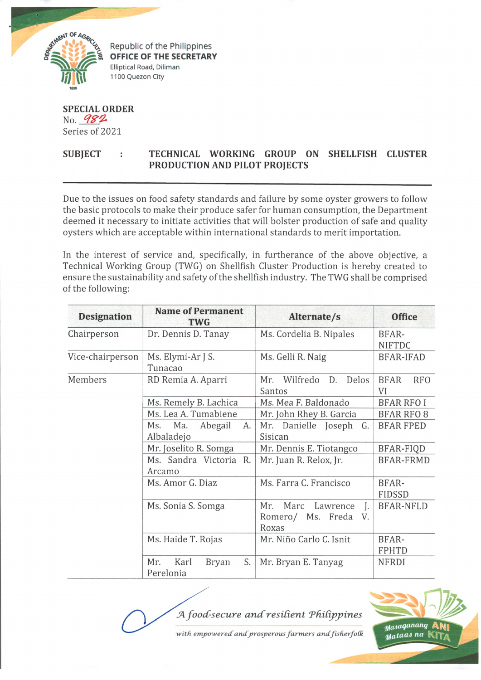

Republic of the Philippines **OFFICE OF THE SECRETARY** Elliptical Road, Diliman 1100 Quezon City

**SPECIAL ORDER** No. 982 Series of 2021

## SUBJECT : TECHNICAL WORKING GROUP ON SHELLFISH CLUSTER **PRODUCTION AND PILOT PROJECTS**

Due to the issues on food safety standards and failure by some oyster growers to follow the basic protocols to make their produce safer for human consumption, the Department deemed it necessary to initiate activities that will bolster production of safe and quality oysters which are acceptable within international standards to merit importation.

In the interest of service and, specifically, in furtherance of the above objective, a Technical Working Group (TWG) on Shellfish Cluster Production is hereby created to ensure the sustainability and safety of the shellfish industry. The TWG shall be comprised of the following:

| <b>Designation</b> | <b>Name of Permanent</b><br><b>TWG</b>         | Alternate/s                                                       | <b>Office</b>                   |
|--------------------|------------------------------------------------|-------------------------------------------------------------------|---------------------------------|
| Chairperson        | Dr. Dennis D. Tanay                            | Ms. Cordelia B. Nipales                                           | BFAR-<br><b>NIFTDC</b>          |
| Vice-chairperson   | Ms. Elymi-Ar J S.<br>Tunacao                   | Ms. Gelli R. Naig                                                 | <b>BFAR-IFAD</b>                |
| Members            | RD Remia A. Aparri                             | Mr. Wilfredo<br>D.<br>Delos<br>Santos                             | <b>BFAR</b><br><b>RFO</b><br>VI |
|                    | Ms. Remely B. Lachica                          | Ms. Mea F. Baldonado                                              | <b>BFAR RFO I</b>               |
|                    | Ms. Lea A. Tumabiene                           | Mr. John Rhey B. Garcia                                           | <b>BFAR RFO 8</b>               |
|                    | Ma.<br>Abegail<br>Ms.<br>А.<br>Albaladejo      | Mr. Danielle Joseph<br>G.<br>Sisican                              | <b>BFAR FPED</b>                |
|                    | Mr. Joselito R. Somga                          | Mr. Dennis E. Tiotangco                                           | BFAR-FIQD                       |
|                    | Ms. Sandra Victoria R.<br>Arcamo               | Mr. Juan R. Relox, Jr.                                            | <b>BFAR-FRMD</b>                |
|                    | Ms. Amor G. Diaz                               | Ms. Farra C. Francisco                                            | BFAR-<br>FIDSSD                 |
|                    | Ms. Sonia S. Somga                             | Marc<br>J.<br>Mr.<br>Lawrence<br>Romero/ Ms. Freda<br>V.<br>Roxas | <b>BFAR-NFLD</b>                |
|                    | Ms. Haide T. Rojas                             | Mr. Niño Carlo C. Isnit                                           | BFAR-<br><b>FPHTD</b>           |
|                    | S.<br>Karl<br>Mr.<br><b>Bryan</b><br>Perelonia | Mr. Bryan E. Tanyag                                               | <b>NFRDI</b>                    |

*fA. food-secure a n d re sid e n t Thdipjjines*



Masaganang Mataas na K